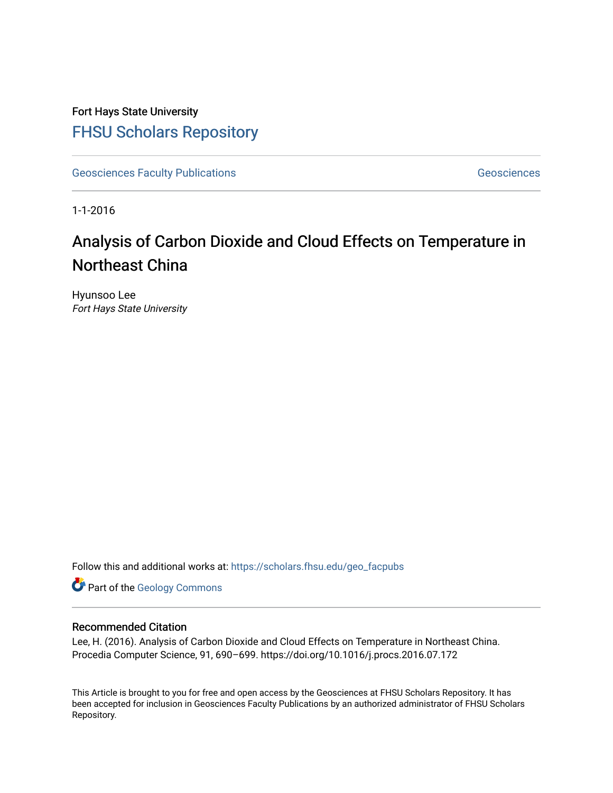Fort Hays State University [FHSU Scholars Repository](https://scholars.fhsu.edu/) 

[Geosciences Faculty Publications](https://scholars.fhsu.edu/geo_facpubs) [Geosciences](https://scholars.fhsu.edu/geo) Geosciences

1-1-2016

# Analysis of Carbon Dioxide and Cloud Effects on Temperature in Northeast China

Hyunsoo Lee Fort Hays State University

Follow this and additional works at: [https://scholars.fhsu.edu/geo\\_facpubs](https://scholars.fhsu.edu/geo_facpubs?utm_source=scholars.fhsu.edu%2Fgeo_facpubs%2F10&utm_medium=PDF&utm_campaign=PDFCoverPages) 

Part of the [Geology Commons](http://network.bepress.com/hgg/discipline/156?utm_source=scholars.fhsu.edu%2Fgeo_facpubs%2F10&utm_medium=PDF&utm_campaign=PDFCoverPages)

# Recommended Citation

Lee, H. (2016). Analysis of Carbon Dioxide and Cloud Effects on Temperature in Northeast China. Procedia Computer Science, 91, 690–699. https://doi.org/10.1016/j.procs.2016.07.172

This Article is brought to you for free and open access by the Geosciences at FHSU Scholars Repository. It has been accepted for inclusion in Geosciences Faculty Publications by an authorized administrator of FHSU Scholars Repository.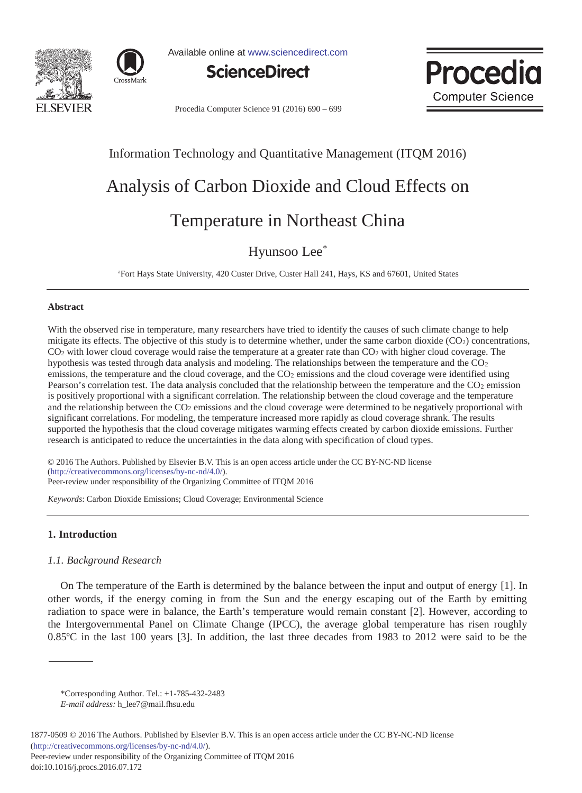



Available online at www.sciencedirect.com





Procedia Computer Science 91 (2016) 690 - 699

# Information Technology and Quantitative Management (ITQM 2016)

# Analysis of Carbon Dioxide and Cloud Effects on

# Temperature in Northeast China

# Hyunsoo Lee\*

aFort Hays State University, 420 Custer Drive, Custer Hall 241, Hays, KS and 67601, United States

#### **Abstract**

With the observed rise in temperature, many researchers have tried to identify the causes of such climate change to help mitigate its effects. The objective of this study is to determine whether, under the same carbon dioxide  $(CO<sub>2</sub>)$  concentrations,  $CO<sub>2</sub>$  with lower cloud coverage would raise the temperature at a greater rate than  $CO<sub>2</sub>$  with higher cloud coverage. The hypothesis was tested through data analysis and modeling. The relationships between the temperature and the  $CO<sub>2</sub>$ emissions, the temperature and the cloud coverage, and the CO<sub>2</sub> emissions and the cloud coverage were identified using Pearson's correlation test. The data analysis concluded that the relationship between the temperature and the  $CO<sub>2</sub>$  emission is positively proportional with a significant correlation. The relationship between the cloud coverage and the temperature and the relationship between the CO<sub>2</sub> emissions and the cloud coverage were determined to be negatively proportional with significant correlations. For modeling, the temperature increased more rapidly as cloud coverage shrank. The results supported the hypothesis that the cloud coverage mitigates warming effects created by carbon dioxide emissions. Further research is anticipated to reduce the uncertainties in the data along with specification of cloud types.

© 2016 The Authors. Published by Elsevier B.V. © 2016 The Authors. Published by Elsevier B.V. This is an open access article under the CC BY-NC-ND license (imp.//creanvecommons.org/neenses/by-ne-nu/4.0/).<br>Peer-review under responsibility of the Organizing Committee of ITQM 2016 (http://creativecommons.org/licenses/by-nc-nd/4.0/).

*Keywords*: Carbon Dioxide Emissions; Cloud Coverage; Environmental Science

# **1. Introduction**

# *1.1. Background Research*

On The temperature of the Earth is determined by the balance between the input and output of energy [1]. In other words, if the energy coming in from the Sun and the energy escaping out of the Earth by emitting radiation to space were in balance, the Earth's temperature would remain constant [2]. However, according to the Intergovernmental Panel on Climate Change (IPCC), the average global temperature has risen roughly 0.85ºC in the last 100 years [3]. In addition, the last three decades from 1983 to 2012 were said to be the

1877-0509 © 2016 The Authors. Published by Elsevier B.V. This is an open access article under the CC BY-NC-ND license (http://creativecommons.org/licenses/by-nc-nd/4.0/). Peer-review under responsibility of the Organizing Committee of ITQM 2016

<sup>\*</sup>Corresponding Author. Tel.: +1-785-432-2483

*E-mail address:* h\_lee7@mail.fhsu.edu

doi: 10.1016/j.procs.2016.07.172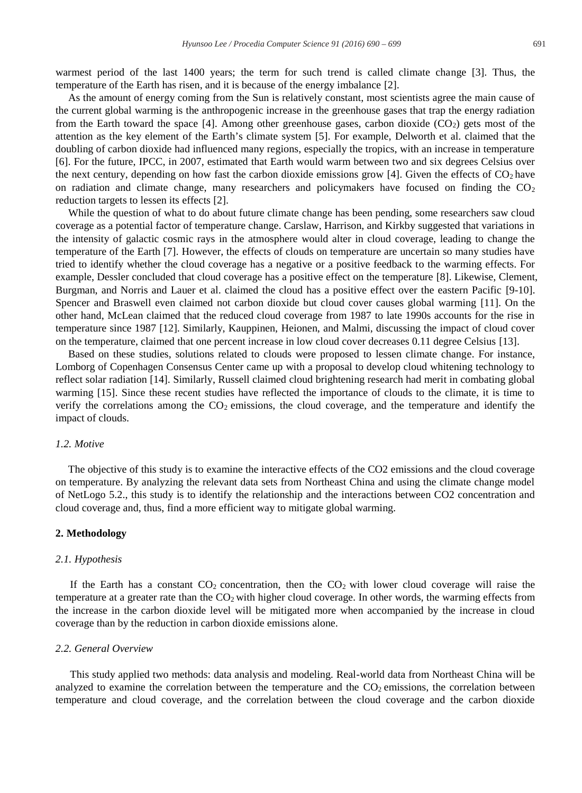warmest period of the last 1400 years; the term for such trend is called climate change [3]. Thus, the temperature of the Earth has risen, and it is because of the energy imbalance [2].

As the amount of energy coming from the Sun is relatively constant, most scientists agree the main cause of the current global warming is the anthropogenic increase in the greenhouse gases that trap the energy radiation from the Earth toward the space [4]. Among other greenhouse gases, carbon dioxide  $(CO<sub>2</sub>)$  gets most of the attention as the key element of the Earth's climate system [5]. For example, Delworth et al. claimed that the doubling of carbon dioxide had influenced many regions, especially the tropics, with an increase in temperature [6]. For the future, IPCC, in 2007, estimated that Earth would warm between two and six degrees Celsius over the next century, depending on how fast the carbon dioxide emissions grow [4]. Given the effects of  $CO<sub>2</sub>$  have on radiation and climate change, many researchers and policymakers have focused on finding the  $CO<sub>2</sub>$ reduction targets to lessen its effects [2].

While the question of what to do about future climate change has been pending, some researchers saw cloud coverage as a potential factor of temperature change. Carslaw, Harrison, and Kirkby suggested that variations in the intensity of galactic cosmic rays in the atmosphere would alter in cloud coverage, leading to change the temperature of the Earth [7]. However, the effects of clouds on temperature are uncertain so many studies have tried to identify whether the cloud coverage has a negative or a positive feedback to the warming effects. For example, Dessler concluded that cloud coverage has a positive effect on the temperature [8]. Likewise, Clement, Burgman, and Norris and Lauer et al. claimed the cloud has a positive effect over the eastern Pacific [9-10]. Spencer and Braswell even claimed not carbon dioxide but cloud cover causes global warming [11]. On the other hand, McLean claimed that the reduced cloud coverage from 1987 to late 1990s accounts for the rise in temperature since 1987 [12]. Similarly, Kauppinen, Heionen, and Malmi, discussing the impact of cloud cover on the temperature, claimed that one percent increase in low cloud cover decreases 0.11 degree Celsius [13].

Based on these studies, solutions related to clouds were proposed to lessen climate change. For instance, Lomborg of Copenhagen Consensus Center came up with a proposal to develop cloud whitening technology to reflect solar radiation [14]. Similarly, Russell claimed cloud brightening research had merit in combating global warming [15]. Since these recent studies have reflected the importance of clouds to the climate, it is time to verify the correlations among the  $CO<sub>2</sub>$  emissions, the cloud coverage, and the temperature and identify the impact of clouds.

#### *1.2. Motive*

The objective of this study is to examine the interactive effects of the CO2 emissions and the cloud coverage on temperature. By analyzing the relevant data sets from Northeast China and using the climate change model of NetLogo 5.2., this study is to identify the relationship and the interactions between CO2 concentration and cloud coverage and, thus, find a more efficient way to mitigate global warming.

#### **2. Methodology**

#### *2.1. Hypothesis*

If the Earth has a constant  $CO_2$  concentration, then the  $CO_2$  with lower cloud coverage will raise the temperature at a greater rate than the  $CO<sub>2</sub>$  with higher cloud coverage. In other words, the warming effects from the increase in the carbon dioxide level will be mitigated more when accompanied by the increase in cloud coverage than by the reduction in carbon dioxide emissions alone.

#### *2.2. General Overview*

This study applied two methods: data analysis and modeling. Real-world data from Northeast China will be analyzed to examine the correlation between the temperature and the  $CO<sub>2</sub>$  emissions, the correlation between temperature and cloud coverage, and the correlation between the cloud coverage and the carbon dioxide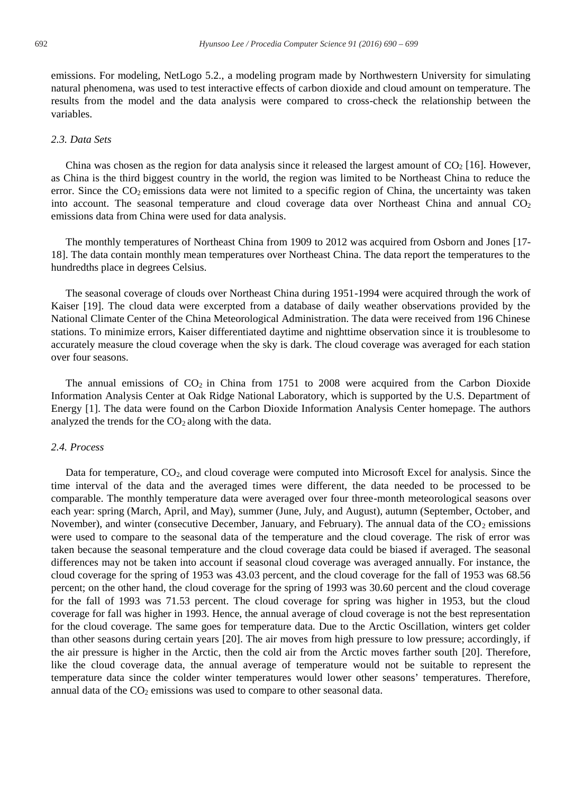emissions. For modeling, NetLogo 5.2., a modeling program made by Northwestern University for simulating natural phenomena, was used to test interactive effects of carbon dioxide and cloud amount on temperature. The results from the model and the data analysis were compared to cross-check the relationship between the variables.

#### *2.3. Data Sets*

China was chosen as the region for data analysis since it released the largest amount of  $CO<sub>2</sub>$  [16]. However, as China is the third biggest country in the world, the region was limited to be Northeast China to reduce the error. Since the  $CO<sub>2</sub>$  emissions data were not limited to a specific region of China, the uncertainty was taken into account. The seasonal temperature and cloud coverage data over Northeast China and annual  $CO<sub>2</sub>$ emissions data from China were used for data analysis.

The monthly temperatures of Northeast China from 1909 to 2012 was acquired from Osborn and Jones [17- 18]. The data contain monthly mean temperatures over Northeast China. The data report the temperatures to the hundredths place in degrees Celsius.

The seasonal coverage of clouds over Northeast China during 1951-1994 were acquired through the work of Kaiser [19]. The cloud data were excerpted from a database of daily weather observations provided by the National Climate Center of the China Meteorological Administration. The data were received from 196 Chinese stations. To minimize errors, Kaiser differentiated daytime and nighttime observation since it is troublesome to accurately measure the cloud coverage when the sky is dark. The cloud coverage was averaged for each station over four seasons.

The annual emissions of  $CO<sub>2</sub>$  in China from 1751 to 2008 were acquired from the Carbon Dioxide Information Analysis Center at Oak Ridge National Laboratory, which is supported by the U.S. Department of Energy [1]. The data were found on the Carbon Dioxide Information Analysis Center homepage. The authors analyzed the trends for the  $CO<sub>2</sub>$  along with the data.

#### *2.4. Process*

Data for temperature, CO<sub>2</sub>, and cloud coverage were computed into Microsoft Excel for analysis. Since the time interval of the data and the averaged times were different, the data needed to be processed to be comparable. The monthly temperature data were averaged over four three-month meteorological seasons over each year: spring (March, April, and May), summer (June, July, and August), autumn (September, October, and November), and winter (consecutive December, January, and February). The annual data of the  $CO<sub>2</sub>$  emissions were used to compare to the seasonal data of the temperature and the cloud coverage. The risk of error was taken because the seasonal temperature and the cloud coverage data could be biased if averaged. The seasonal differences may not be taken into account if seasonal cloud coverage was averaged annually. For instance, the cloud coverage for the spring of 1953 was 43.03 percent, and the cloud coverage for the fall of 1953 was 68.56 percent; on the other hand, the cloud coverage for the spring of 1993 was 30.60 percent and the cloud coverage for the fall of 1993 was 71.53 percent. The cloud coverage for spring was higher in 1953, but the cloud coverage for fall was higher in 1993. Hence, the annual average of cloud coverage is not the best representation for the cloud coverage. The same goes for temperature data. Due to the Arctic Oscillation, winters get colder than other seasons during certain years [20]. The air moves from high pressure to low pressure; accordingly, if the air pressure is higher in the Arctic, then the cold air from the Arctic moves farther south [20]. Therefore, like the cloud coverage data, the annual average of temperature would not be suitable to represent the temperature data since the colder winter temperatures would lower other seasons' temperatures. Therefore, annual data of the  $CO<sub>2</sub>$  emissions was used to compare to other seasonal data.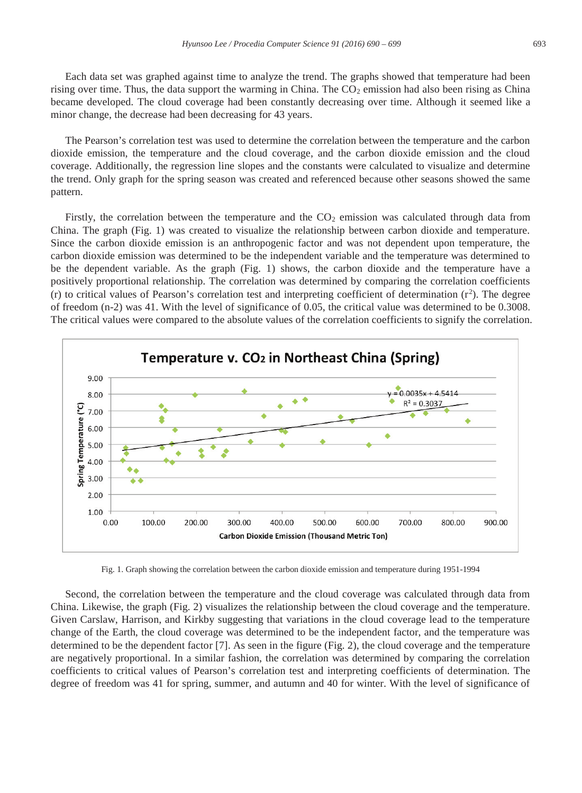Each data set was graphed against time to analyze the trend. The graphs showed that temperature had been rising over time. Thus, the data support the warming in China. The  $CO<sub>2</sub>$  emission had also been rising as China became developed. The cloud coverage had been constantly decreasing over time. Although it seemed like a minor change, the decrease had been decreasing for 43 years.

The Pearson's correlation test was used to determine the correlation between the temperature and the carbon dioxide emission, the temperature and the cloud coverage, and the carbon dioxide emission and the cloud coverage. Additionally, the regression line slopes and the constants were calculated to visualize and determine the trend. Only graph for the spring season was created and referenced because other seasons showed the same pattern.

Firstly, the correlation between the temperature and the  $CO<sub>2</sub>$  emission was calculated through data from China. The graph (Fig. 1) was created to visualize the relationship between carbon dioxide and temperature. Since the carbon dioxide emission is an anthropogenic factor and was not dependent upon temperature, the carbon dioxide emission was determined to be the independent variable and the temperature was determined to be the dependent variable. As the graph (Fig. 1) shows, the carbon dioxide and the temperature have a positively proportional relationship. The correlation was determined by comparing the correlation coefficients (r) to critical values of Pearson's correlation test and interpreting coefficient of determination  $(r^2)$ . The degree of freedom (n-2) was 41. With the level of significance of 0.05, the critical value was determined to be 0.3008. The critical values were compared to the absolute values of the correlation coefficients to signify the correlation.



Fig. 1. Graph showing the correlation between the carbon dioxide emission and temperature during 1951-1994

Second, the correlation between the temperature and the cloud coverage was calculated through data from China. Likewise, the graph (Fig. 2) visualizes the relationship between the cloud coverage and the temperature. Given Carslaw, Harrison, and Kirkby suggesting that variations in the cloud coverage lead to the temperature change of the Earth, the cloud coverage was determined to be the independent factor, and the temperature was determined to be the dependent factor [7]. As seen in the figure (Fig. 2), the cloud coverage and the temperature are negatively proportional. In a similar fashion, the correlation was determined by comparing the correlation coefficients to critical values of Pearson's correlation test and interpreting coefficients of determination. The degree of freedom was 41 for spring, summer, and autumn and 40 for winter. With the level of significance of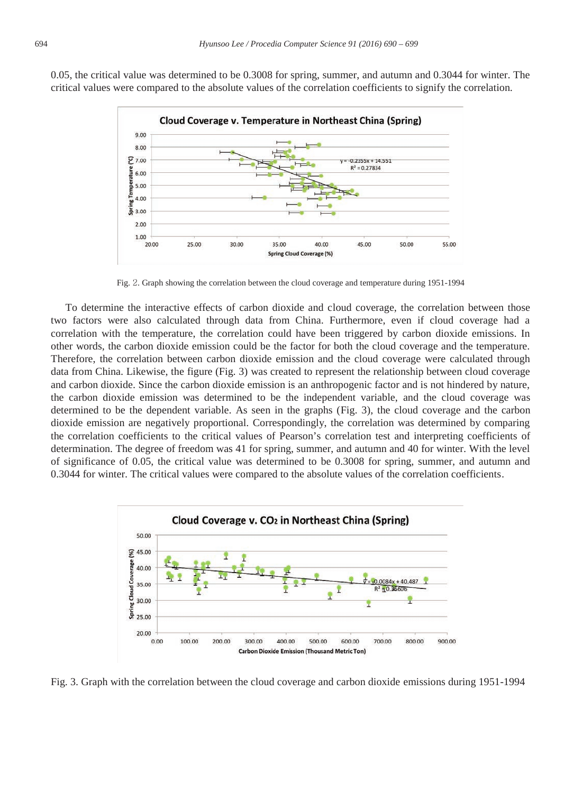

0.05, the critical value was determined to be 0.3008 for spring, summer, and autumn and 0.3044 for winter. The critical values were compared to the absolute values of the correlation coefficients to signify the correlation.

Fig. 2. Graph showing the correlation between the cloud coverage and temperature during 1951-1994

To determine the interactive effects of carbon dioxide and cloud coverage, the correlation between those two factors were also calculated through data from China. Furthermore, even if cloud coverage had a correlation with the temperature, the correlation could have been triggered by carbon dioxide emissions. In other words, the carbon dioxide emission could be the factor for both the cloud coverage and the temperature. Therefore, the correlation between carbon dioxide emission and the cloud coverage were calculated through data from China. Likewise, the figure (Fig. 3) was created to represent the relationship between cloud coverage and carbon dioxide. Since the carbon dioxide emission is an anthropogenic factor and is not hindered by nature, the carbon dioxide emission was determined to be the independent variable, and the cloud coverage was determined to be the dependent variable. As seen in the graphs (Fig. 3), the cloud coverage and the carbon dioxide emission are negatively proportional. Correspondingly, the correlation was determined by comparing the correlation coefficients to the critical values of Pearson's correlation test and interpreting coefficients of determination. The degree of freedom was 41 for spring, summer, and autumn and 40 for winter. With the level of significance of 0.05, the critical value was determined to be 0.3008 for spring, summer, and autumn and 0.3044 for winter. The critical values were compared to the absolute values of the correlation coefficients.



Fig. 3. Graph with the correlation between the cloud coverage and carbon dioxide emissions during 1951-1994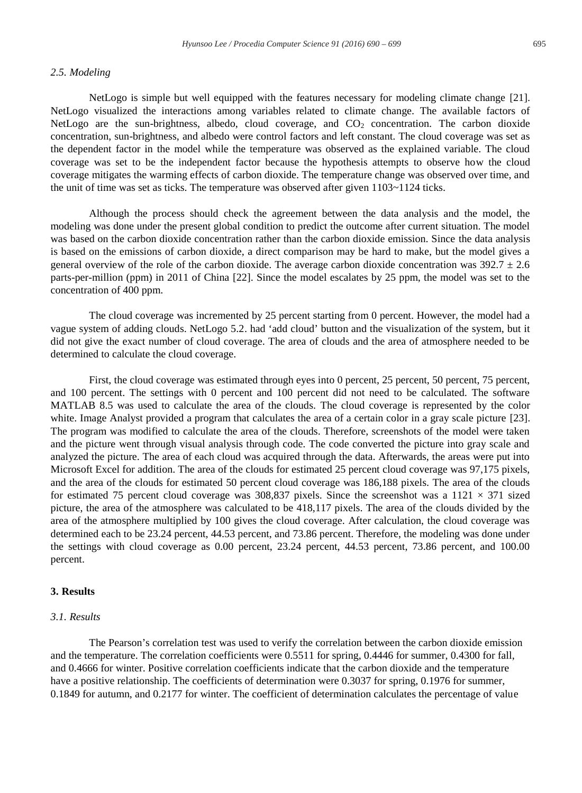#### *2.5. Modeling*

NetLogo is simple but well equipped with the features necessary for modeling climate change [21]. NetLogo visualized the interactions among variables related to climate change. The available factors of NetLogo are the sun-brightness, albedo, cloud coverage, and  $CO<sub>2</sub>$  concentration. The carbon dioxide concentration, sun-brightness, and albedo were control factors and left constant. The cloud coverage was set as the dependent factor in the model while the temperature was observed as the explained variable. The cloud coverage was set to be the independent factor because the hypothesis attempts to observe how the cloud coverage mitigates the warming effects of carbon dioxide. The temperature change was observed over time, and the unit of time was set as ticks. The temperature was observed after given 1103~1124 ticks.

Although the process should check the agreement between the data analysis and the model, the modeling was done under the present global condition to predict the outcome after current situation. The model was based on the carbon dioxide concentration rather than the carbon dioxide emission. Since the data analysis is based on the emissions of carbon dioxide, a direct comparison may be hard to make, but the model gives a general overview of the role of the carbon dioxide. The average carbon dioxide concentration was  $392.7 \pm 2.6$ parts-per-million (ppm) in 2011 of China [22]. Since the model escalates by 25 ppm, the model was set to the concentration of 400 ppm.

The cloud coverage was incremented by 25 percent starting from 0 percent. However, the model had a vague system of adding clouds. NetLogo 5.2. had 'add cloud' button and the visualization of the system, but it did not give the exact number of cloud coverage. The area of clouds and the area of atmosphere needed to be determined to calculate the cloud coverage.

First, the cloud coverage was estimated through eyes into 0 percent, 25 percent, 50 percent, 75 percent, and 100 percent. The settings with 0 percent and 100 percent did not need to be calculated. The software MATLAB 8.5 was used to calculate the area of the clouds. The cloud coverage is represented by the color white. Image Analyst provided a program that calculates the area of a certain color in a gray scale picture [23]. The program was modified to calculate the area of the clouds. Therefore, screenshots of the model were taken and the picture went through visual analysis through code. The code converted the picture into gray scale and analyzed the picture. The area of each cloud was acquired through the data. Afterwards, the areas were put into Microsoft Excel for addition. The area of the clouds for estimated 25 percent cloud coverage was 97,175 pixels, and the area of the clouds for estimated 50 percent cloud coverage was 186,188 pixels. The area of the clouds for estimated 75 percent cloud coverage was 308,837 pixels. Since the screenshot was a  $1121 \times 371$  sized picture, the area of the atmosphere was calculated to be 418,117 pixels. The area of the clouds divided by the area of the atmosphere multiplied by 100 gives the cloud coverage. After calculation, the cloud coverage was determined each to be 23.24 percent, 44.53 percent, and 73.86 percent. Therefore, the modeling was done under the settings with cloud coverage as 0.00 percent, 23.24 percent, 44.53 percent, 73.86 percent, and 100.00 percent.

#### **3. Results**

## *3.1. Results*

The Pearson's correlation test was used to verify the correlation between the carbon dioxide emission and the temperature. The correlation coefficients were 0.5511 for spring, 0.4446 for summer, 0.4300 for fall, and 0.4666 for winter. Positive correlation coefficients indicate that the carbon dioxide and the temperature have a positive relationship. The coefficients of determination were 0.3037 for spring, 0.1976 for summer, 0.1849 for autumn, and 0.2177 for winter. The coefficient of determination calculates the percentage of value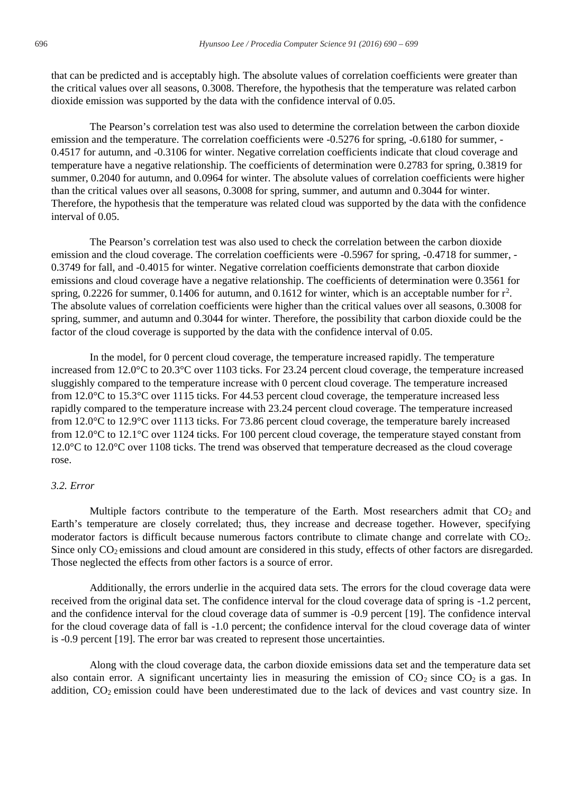that can be predicted and is acceptably high. The absolute values of correlation coefficients were greater than the critical values over all seasons, 0.3008. Therefore, the hypothesis that the temperature was related carbon dioxide emission was supported by the data with the confidence interval of 0.05.

The Pearson's correlation test was also used to determine the correlation between the carbon dioxide emission and the temperature. The correlation coefficients were -0.5276 for spring, -0.6180 for summer, - 0.4517 for autumn, and -0.3106 for winter. Negative correlation coefficients indicate that cloud coverage and temperature have a negative relationship. The coefficients of determination were 0.2783 for spring, 0.3819 for summer, 0.2040 for autumn, and 0.0964 for winter. The absolute values of correlation coefficients were higher than the critical values over all seasons, 0.3008 for spring, summer, and autumn and 0.3044 for winter. Therefore, the hypothesis that the temperature was related cloud was supported by the data with the confidence interval of 0.05.

The Pearson's correlation test was also used to check the correlation between the carbon dioxide emission and the cloud coverage. The correlation coefficients were -0.5967 for spring, -0.4718 for summer, -0.3749 for fall, and -0.4015 for winter. Negative correlation coefficients demonstrate that carbon dioxide emissions and cloud coverage have a negative relationship. The coefficients of determination were 0.3561 for spring, 0.2226 for summer, 0.1406 for autumn, and 0.1612 for winter, which is an acceptable number for  $r^2$ . The absolute values of correlation coefficients were higher than the critical values over all seasons, 0.3008 for spring, summer, and autumn and 0.3044 for winter. Therefore, the possibility that carbon dioxide could be the factor of the cloud coverage is supported by the data with the confidence interval of 0.05.

In the model, for 0 percent cloud coverage, the temperature increased rapidly. The temperature increased from 12.0°C to 20.3°C over 1103 ticks. For 23.24 percent cloud coverage, the temperature increased sluggishly compared to the temperature increase with 0 percent cloud coverage. The temperature increased from 12.0°C to 15.3°C over 1115 ticks. For 44.53 percent cloud coverage, the temperature increased less rapidly compared to the temperature increase with 23.24 percent cloud coverage. The temperature increased from 12.0°C to 12.9°C over 1113 ticks. For 73.86 percent cloud coverage, the temperature barely increased from 12.0°C to 12.1°C over 1124 ticks. For 100 percent cloud coverage, the temperature stayed constant from 12.0°C to 12.0°C over 1108 ticks. The trend was observed that temperature decreased as the cloud coverage rose.

# *3.2. Error*

Multiple factors contribute to the temperature of the Earth. Most researchers admit that  $CO<sub>2</sub>$  and Earth's temperature are closely correlated; thus, they increase and decrease together. However, specifying moderator factors is difficult because numerous factors contribute to climate change and correlate with CO2. Since only  $CO<sub>2</sub>$  emissions and cloud amount are considered in this study, effects of other factors are disregarded. Those neglected the effects from other factors is a source of error.

Additionally, the errors underlie in the acquired data sets. The errors for the cloud coverage data were received from the original data set. The confidence interval for the cloud coverage data of spring is -1.2 percent, and the confidence interval for the cloud coverage data of summer is -0.9 percent [19]. The confidence interval for the cloud coverage data of fall is -1.0 percent; the confidence interval for the cloud coverage data of winter is -0.9 percent [19]. The error bar was created to represent those uncertainties.

Along with the cloud coverage data, the carbon dioxide emissions data set and the temperature data set also contain error. A significant uncertainty lies in measuring the emission of  $CO_2$  since  $CO_2$  is a gas. In addition, CO<sub>2</sub> emission could have been underestimated due to the lack of devices and vast country size. In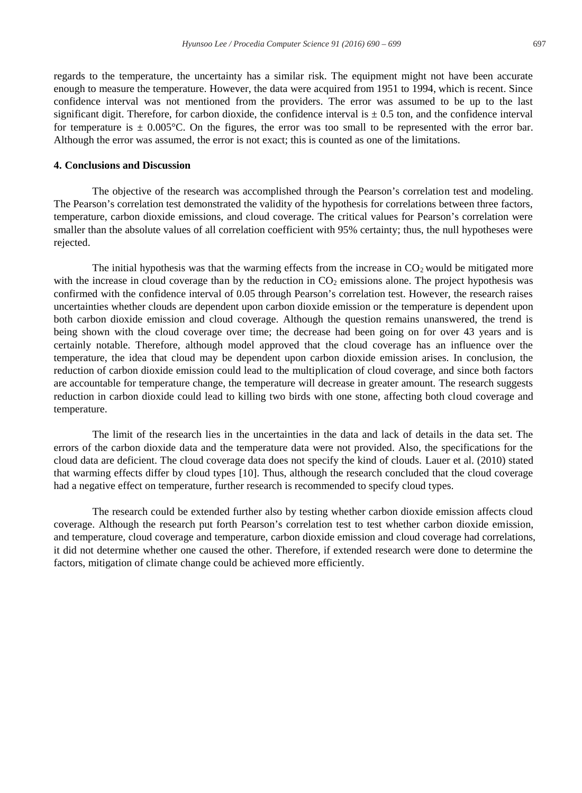regards to the temperature, the uncertainty has a similar risk. The equipment might not have been accurate enough to measure the temperature. However, the data were acquired from 1951 to 1994, which is recent. Since confidence interval was not mentioned from the providers. The error was assumed to be up to the last significant digit. Therefore, for carbon dioxide, the confidence interval is  $\pm$  0.5 ton, and the confidence interval for temperature is  $\pm$  0.005°C. On the figures, the error was too small to be represented with the error bar. Although the error was assumed, the error is not exact; this is counted as one of the limitations.

#### **4. Conclusions and Discussion**

The objective of the research was accomplished through the Pearson's correlation test and modeling. The Pearson's correlation test demonstrated the validity of the hypothesis for correlations between three factors, temperature, carbon dioxide emissions, and cloud coverage. The critical values for Pearson's correlation were smaller than the absolute values of all correlation coefficient with 95% certainty; thus, the null hypotheses were rejected.

The initial hypothesis was that the warming effects from the increase in  $CO<sub>2</sub>$  would be mitigated more with the increase in cloud coverage than by the reduction in  $CO<sub>2</sub>$  emissions alone. The project hypothesis was confirmed with the confidence interval of 0.05 through Pearson's correlation test. However, the research raises uncertainties whether clouds are dependent upon carbon dioxide emission or the temperature is dependent upon both carbon dioxide emission and cloud coverage. Although the question remains unanswered, the trend is being shown with the cloud coverage over time; the decrease had been going on for over 43 years and is certainly notable. Therefore, although model approved that the cloud coverage has an influence over the temperature, the idea that cloud may be dependent upon carbon dioxide emission arises. In conclusion, the reduction of carbon dioxide emission could lead to the multiplication of cloud coverage, and since both factors are accountable for temperature change, the temperature will decrease in greater amount. The research suggests reduction in carbon dioxide could lead to killing two birds with one stone, affecting both cloud coverage and temperature.

The limit of the research lies in the uncertainties in the data and lack of details in the data set. The errors of the carbon dioxide data and the temperature data were not provided. Also, the specifications for the cloud data are deficient. The cloud coverage data does not specify the kind of clouds. Lauer et al. (2010) stated that warming effects differ by cloud types [10]. Thus, although the research concluded that the cloud coverage had a negative effect on temperature, further research is recommended to specify cloud types.

The research could be extended further also by testing whether carbon dioxide emission affects cloud coverage. Although the research put forth Pearson's correlation test to test whether carbon dioxide emission, and temperature, cloud coverage and temperature, carbon dioxide emission and cloud coverage had correlations, it did not determine whether one caused the other. Therefore, if extended research were done to determine the factors, mitigation of climate change could be achieved more efficiently.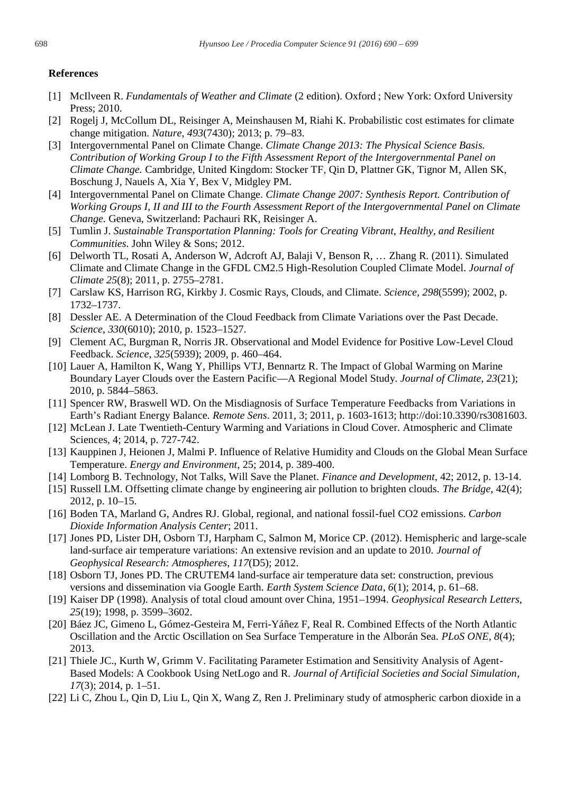### **References**

- [1] McIlveen R. *Fundamentals of Weather and Climate* (2 edition). Oxford ; New York: Oxford University Press; 2010.
- [2] Rogelj J, McCollum DL, Reisinger A, Meinshausen M, Riahi K. Probabilistic cost estimates for climate change mitigation. *Nature*, *493*(7430); 2013; p. 79–83.
- [3] Intergovernmental Panel on Climate Change. *Climate Change 2013: The Physical Science Basis. Contribution of Working Group I to the Fifth Assessment Report of the Intergovernmental Panel on Climate Change.* Cambridge, United Kingdom: Stocker TF, Qin D, Plattner GK, Tignor M, Allen SK, Boschung J, Nauels A, Xia Y, Bex V, Midgley PM.
- [4] Intergovernmental Panel on Climate Change. *Climate Change 2007: Synthesis Report. Contribution of Working Groups I, II and III to the Fourth Assessment Report of the Intergovernmental Panel on Climate Change.* Geneva, Switzerland: Pachauri RK, Reisinger A.
- [5] Tumlin J. *Sustainable Transportation Planning: Tools for Creating Vibrant, Healthy, and Resilient Communities*. John Wiley & Sons; 2012.
- [6] Delworth TL, Rosati A, Anderson W, Adcroft AJ, Balaji V, Benson R, … Zhang R. (2011). Simulated Climate and Climate Change in the GFDL CM2.5 High-Resolution Coupled Climate Model. *Journal of Climate 25*(8); 2011, p. 2755–2781.
- [7] Carslaw KS, Harrison RG, Kirkby J. Cosmic Rays, Clouds, and Climate. *Science*, *298*(5599); 2002, p. 1732–1737.
- [8] Dessler AE. A Determination of the Cloud Feedback from Climate Variations over the Past Decade. *Science*, *330*(6010); 2010, p. 1523–1527.
- [9] Clement AC, Burgman R, Norris JR. Observational and Model Evidence for Positive Low-Level Cloud Feedback. *Science*, *325*(5939); 2009, p. 460–464.
- [10] Lauer A, Hamilton K, Wang Y, Phillips VTJ, Bennartz R. The Impact of Global Warming on Marine Boundary Layer Clouds over the Eastern Pacific—A Regional Model Study. *Journal of Climate*, *23*(21); 2010, p. 5844–5863.
- [11] Spencer RW, Braswell WD. On the Misdiagnosis of Surface Temperature Feedbacks from Variations in Earth's Radiant Energy Balance. *Remote Sens*. 2011, 3; 2011, p. 1603-1613; http://doi:10.3390/rs3081603.
- [12] McLean J. Late Twentieth-Century Warming and Variations in Cloud Cover. Atmospheric and Climate Sciences, 4; 2014, p. 727-742.
- [13] Kauppinen J, Heionen J, Malmi P. Influence of Relative Humidity and Clouds on the Global Mean Surface Temperature. *Energy and Environment*, 25; 2014, p. 389-400.
- [14] Lomborg B. Technology, Not Talks, Will Save the Planet. *Finance and Development*, 42; 2012, p. 13-14.
- [15] Russell LM. Offsetting climate change by engineering air pollution to brighten clouds. *The Bridge*, 42(4); 2012, p. 10–15.
- [16] Boden TA, Marland G, Andres RJ. Global, regional, and national fossil-fuel CO2 emissions. *Carbon Dioxide Information Analysis Center*; 2011.
- [17] Jones PD, Lister DH, Osborn TJ, Harpham C, Salmon M, Morice CP. (2012). Hemispheric and large-scale land-surface air temperature variations: An extensive revision and an update to 2010. *Journal of Geophysical Research: Atmospheres*, *117*(D5); 2012.
- [18] Osborn TJ, Jones PD. The CRUTEM4 land-surface air temperature data set: construction, previous versions and dissemination via Google Earth. *Earth System Science Data*, *6*(1); 2014, p. 61–68.
- [19] Kaiser DP (1998). Analysis of total cloud amount over China, 1951–1994. *Geophysical Research Letters*, *25*(19); 1998, p. 3599–3602.
- [20] Báez JC, Gimeno L, Gómez-Gesteira M, Ferri-Yáñez F, Real R. Combined Effects of the North Atlantic Oscillation and the Arctic Oscillation on Sea Surface Temperature in the Alborán Sea. *PLoS ONE*, *8*(4); 2013.
- [21] Thiele JC., Kurth W, Grimm V. Facilitating Parameter Estimation and Sensitivity Analysis of Agent-Based Models: A Cookbook Using NetLogo and R. *Journal of Artificial Societies and Social Simulation*, *17*(3); 2014, p. 1–51.
- [22] Li C, Zhou L, Qin D, Liu L, Qin X, Wang Z, Ren J. Preliminary study of atmospheric carbon dioxide in a